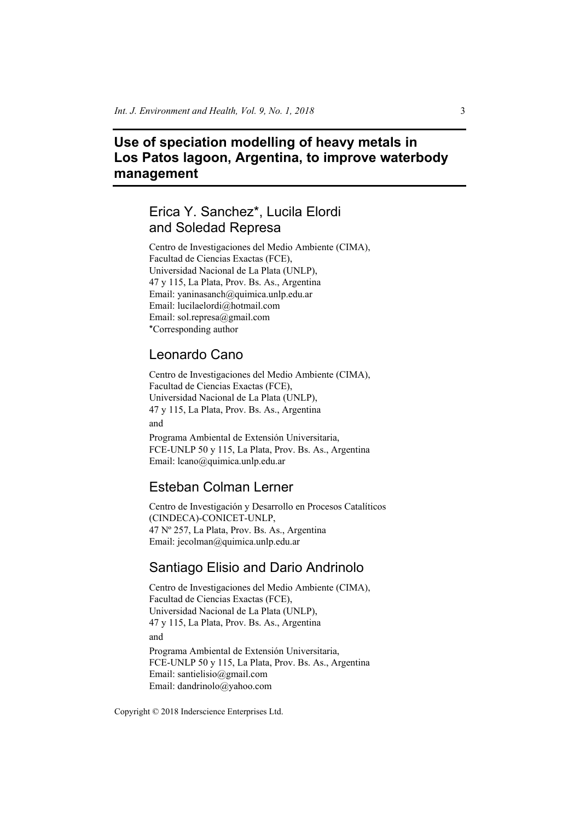# **Use of speciation modelling of heavy metals in Los Patos lagoon, Argentina, to improve waterbody management**

# Erica Y. Sanchez\*, Lucila Elordi and Soledad Represa

Centro de Investigaciones del Medio Ambiente (CIMA), Facultad de Ciencias Exactas (FCE), Universidad Nacional de La Plata (UNLP), 47 y 115, La Plata, Prov. Bs. As., Argentina Email: yaninasanch@quimica.unlp.edu.ar Email: lucilaelordi@hotmail.com Email: sol.represa@gmail.com \*Corresponding author

## Leonardo Cano

Centro de Investigaciones del Medio Ambiente (CIMA), Facultad de Ciencias Exactas (FCE), Universidad Nacional de La Plata (UNLP), 47 y 115, La Plata, Prov. Bs. As., Argentina and

Programa Ambiental de Extensión Universitaria, FCE-UNLP 50 y 115, La Plata, Prov. Bs. As., Argentina Email: lcano@quimica.unlp.edu.ar

## Esteban Colman Lerner

Centro de Investigación y Desarrollo en Procesos Catalíticos (CINDECA)-CONICET-UNLP, 47 Nº 257, La Plata, Prov. Bs. As., Argentina Email: jecolman@quimica.unlp.edu.ar

## Santiago Elisio and Dario Andrinolo

Centro de Investigaciones del Medio Ambiente (CIMA), Facultad de Ciencias Exactas (FCE), Universidad Nacional de La Plata (UNLP), 47 y 115, La Plata, Prov. Bs. As., Argentina and Programa Ambiental de Extensión Universitaria, FCE-UNLP 50 y 115, La Plata, Prov. Bs. As., Argentina Email: santielisio@gmail.com Email: dandrinolo@yahoo.com

Copyright © 2018 Inderscience Enterprises Ltd.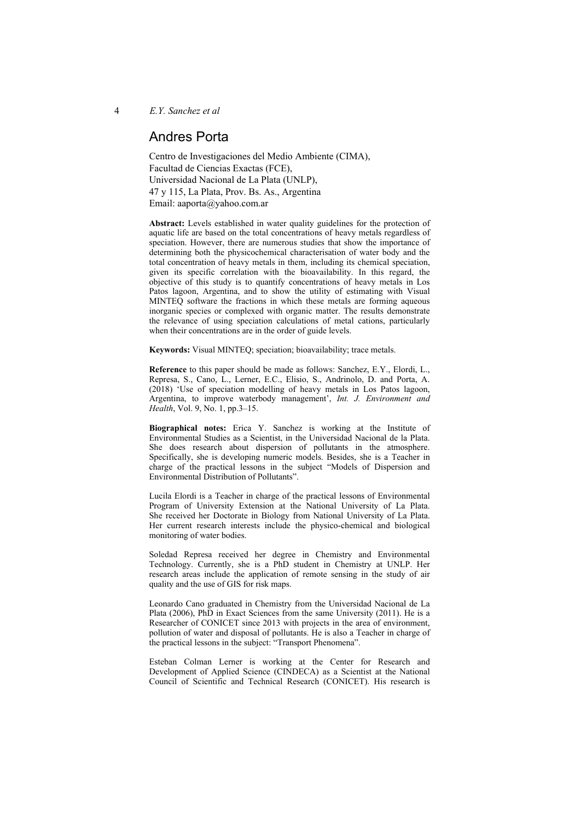## Andres Porta

Centro de Investigaciones del Medio Ambiente (CIMA), Facultad de Ciencias Exactas (FCE), Universidad Nacional de La Plata (UNLP), 47 y 115, La Plata, Prov. Bs. As., Argentina Email: aaporta@yahoo.com.ar

**Abstract:** Levels established in water quality guidelines for the protection of aquatic life are based on the total concentrations of heavy metals regardless of speciation. However, there are numerous studies that show the importance of determining both the physicochemical characterisation of water body and the total concentration of heavy metals in them, including its chemical speciation, given its specific correlation with the bioavailability. In this regard, the objective of this study is to quantify concentrations of heavy metals in Los Patos lagoon, Argentina, and to show the utility of estimating with Visual MINTEQ software the fractions in which these metals are forming aqueous inorganic species or complexed with organic matter. The results demonstrate the relevance of using speciation calculations of metal cations, particularly when their concentrations are in the order of guide levels.

**Keywords:** Visual MINTEQ; speciation; bioavailability; trace metals.

**Reference** to this paper should be made as follows: Sanchez, E.Y., Elordi, L., Represa, S., Cano, L., Lerner, E.C., Elisio, S., Andrinolo, D. and Porta, A. (2018) 'Use of speciation modelling of heavy metals in Los Patos lagoon, Argentina, to improve waterbody management', *Int. J. Environment and Health*, Vol. 9, No. 1, pp.3–15.

**Biographical notes:** Erica Y. Sanchez is working at the Institute of Environmental Studies as a Scientist, in the Universidad Nacional de la Plata. She does research about dispersion of pollutants in the atmosphere. Specifically, she is developing numeric models. Besides, she is a Teacher in charge of the practical lessons in the subject "Models of Dispersion and Environmental Distribution of Pollutants".

Lucila Elordi is a Teacher in charge of the practical lessons of Environmental Program of University Extension at the National University of La Plata. She received her Doctorate in Biology from National University of La Plata. Her current research interests include the physico-chemical and biological monitoring of water bodies.

Soledad Represa received her degree in Chemistry and Environmental Technology. Currently, she is a PhD student in Chemistry at UNLP. Her research areas include the application of remote sensing in the study of air quality and the use of GIS for risk maps.

Leonardo Cano graduated in Chemistry from the Universidad Nacional de La Plata (2006), PhD in Exact Sciences from the same University (2011). He is a Researcher of CONICET since 2013 with projects in the area of environment, pollution of water and disposal of pollutants. He is also a Teacher in charge of the practical lessons in the subject: "Transport Phenomena".

Esteban Colman Lerner is working at the Center for Research and Development of Applied Science (CINDECA) as a Scientist at the National Council of Scientific and Technical Research (CONICET). His research is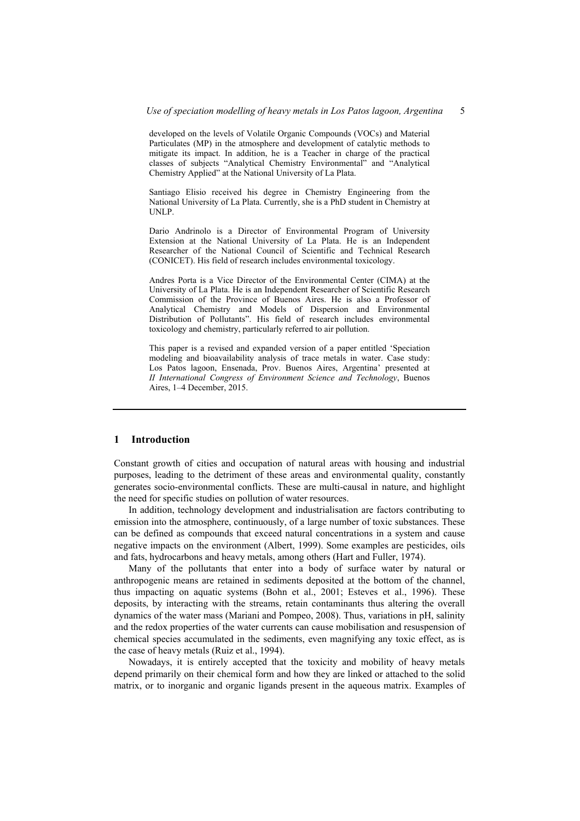developed on the levels of Volatile Organic Compounds (VOCs) and Material Particulates (MP) in the atmosphere and development of catalytic methods to mitigate its impact. In addition, he is a Teacher in charge of the practical classes of subjects "Analytical Chemistry Environmental" and "Analytical Chemistry Applied" at the National University of La Plata.

Santiago Elisio received his degree in Chemistry Engineering from the National University of La Plata. Currently, she is a PhD student in Chemistry at UNLP.

Dario Andrinolo is a Director of Environmental Program of University Extension at the National University of La Plata. He is an Independent Researcher of the National Council of Scientific and Technical Research (CONICET). His field of research includes environmental toxicology.

Andres Porta is a Vice Director of the Environmental Center (CIMA) at the University of La Plata. He is an Independent Researcher of Scientific Research Commission of the Province of Buenos Aires. He is also a Professor of Analytical Chemistry and Models of Dispersion and Environmental Distribution of Pollutants". His field of research includes environmental toxicology and chemistry, particularly referred to air pollution.

This paper is a revised and expanded version of a paper entitled 'Speciation modeling and bioavailability analysis of trace metals in water. Case study: Los Patos lagoon, Ensenada, Prov. Buenos Aires, Argentina' presented at *II International Congress of Environment Science and Technology*, Buenos Aires, 1–4 December, 2015.

#### **1 Introduction**

Constant growth of cities and occupation of natural areas with housing and industrial purposes, leading to the detriment of these areas and environmental quality, constantly generates socio-environmental conflicts. These are multi-causal in nature, and highlight the need for specific studies on pollution of water resources.

In addition, technology development and industrialisation are factors contributing to emission into the atmosphere, continuously, of a large number of toxic substances. These can be defined as compounds that exceed natural concentrations in a system and cause negative impacts on the environment (Albert, 1999). Some examples are pesticides, oils and fats, hydrocarbons and heavy metals, among others (Hart and Fuller, 1974).

Many of the pollutants that enter into a body of surface water by natural or anthropogenic means are retained in sediments deposited at the bottom of the channel, thus impacting on aquatic systems (Bohn et al., 2001; Esteves et al., 1996). These deposits, by interacting with the streams, retain contaminants thus altering the overall dynamics of the water mass (Mariani and Pompeo, 2008). Thus, variations in pH, salinity and the redox properties of the water currents can cause mobilisation and resuspension of chemical species accumulated in the sediments, even magnifying any toxic effect, as is the case of heavy metals (Ruiz et al., 1994).

Nowadays, it is entirely accepted that the toxicity and mobility of heavy metals depend primarily on their chemical form and how they are linked or attached to the solid matrix, or to inorganic and organic ligands present in the aqueous matrix. Examples of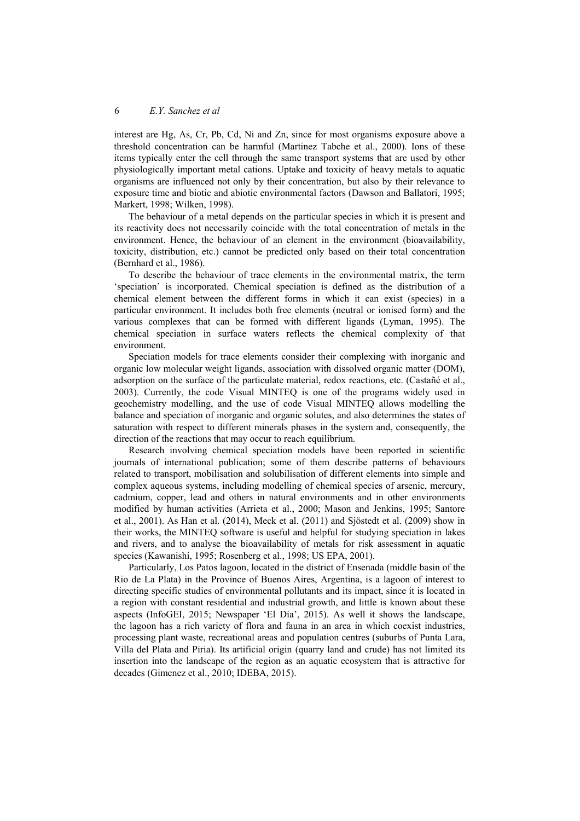interest are Hg, As, Cr, Pb, Cd, Ni and Zn, since for most organisms exposure above a threshold concentration can be harmful (Martinez Tabche et al., 2000). Ions of these items typically enter the cell through the same transport systems that are used by other physiologically important metal cations. Uptake and toxicity of heavy metals to aquatic organisms are influenced not only by their concentration, but also by their relevance to exposure time and biotic and abiotic environmental factors (Dawson and Ballatori, 1995; Markert, 1998; Wilken, 1998).

The behaviour of a metal depends on the particular species in which it is present and its reactivity does not necessarily coincide with the total concentration of metals in the environment. Hence, the behaviour of an element in the environment (bioavailability, toxicity, distribution, etc.) cannot be predicted only based on their total concentration (Bernhard et al., 1986).

To describe the behaviour of trace elements in the environmental matrix, the term 'speciation' is incorporated. Chemical speciation is defined as the distribution of a chemical element between the different forms in which it can exist (species) in a particular environment. It includes both free elements (neutral or ionised form) and the various complexes that can be formed with different ligands (Lyman, 1995). The chemical speciation in surface waters reflects the chemical complexity of that environment.

Speciation models for trace elements consider their complexing with inorganic and organic low molecular weight ligands, association with dissolved organic matter (DOM), adsorption on the surface of the particulate material, redox reactions, etc. (Castañé et al., 2003). Currently, the code Visual MINTEQ is one of the programs widely used in geochemistry modelling, and the use of code Visual MINTEQ allows modelling the balance and speciation of inorganic and organic solutes, and also determines the states of saturation with respect to different minerals phases in the system and, consequently, the direction of the reactions that may occur to reach equilibrium.

Research involving chemical speciation models have been reported in scientific journals of international publication; some of them describe patterns of behaviours related to transport, mobilisation and solubilisation of different elements into simple and complex aqueous systems, including modelling of chemical species of arsenic, mercury, cadmium, copper, lead and others in natural environments and in other environments modified by human activities (Arrieta et al., 2000; Mason and Jenkins, 1995; Santore et al., 2001). As Han et al. (2014), Meck et al. (2011) and Sjöstedt et al. (2009) show in their works, the MINTEQ software is useful and helpful for studying speciation in lakes and rivers, and to analyse the bioavailability of metals for risk assessment in aquatic species (Kawanishi, 1995; Rosenberg et al., 1998; US EPA, 2001).

Particularly, Los Patos lagoon, located in the district of Ensenada (middle basin of the Rio de La Plata) in the Province of Buenos Aires, Argentina, is a lagoon of interest to directing specific studies of environmental pollutants and its impact, since it is located in a region with constant residential and industrial growth, and little is known about these aspects (InfoGEI, 2015; Newspaper 'El Día', 2015). As well it shows the landscape, the lagoon has a rich variety of flora and fauna in an area in which coexist industries, processing plant waste, recreational areas and population centres (suburbs of Punta Lara, Villa del Plata and Piria). Its artificial origin (quarry land and crude) has not limited its insertion into the landscape of the region as an aquatic ecosystem that is attractive for decades (Gimenez et al., 2010; IDEBA, 2015).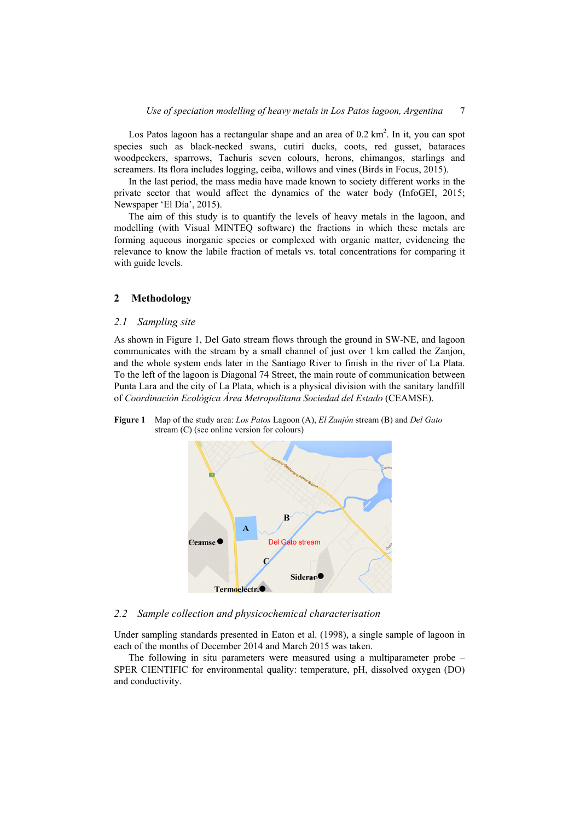Los Patos lagoon has a rectangular shape and an area of  $0.2 \text{ km}^2$ . In it, you can spot species such as black-necked swans, cutirí ducks, coots, red gusset, bataraces woodpeckers, sparrows, Tachuris seven colours, herons, chimangos, starlings and screamers. Its flora includes logging, ceiba, willows and vines (Birds in Focus, 2015).

In the last period, the mass media have made known to society different works in the private sector that would affect the dynamics of the water body (InfoGEI, 2015; Newspaper 'El Día', 2015).

The aim of this study is to quantify the levels of heavy metals in the lagoon, and modelling (with Visual MINTEQ software) the fractions in which these metals are forming aqueous inorganic species or complexed with organic matter, evidencing the relevance to know the labile fraction of metals vs. total concentrations for comparing it with guide levels.

## **2 Methodology**

#### *2.1 Sampling site*

As shown in Figure 1, Del Gato stream flows through the ground in SW-NE, and lagoon communicates with the stream by a small channel of just over 1 km called the Zanjon, and the whole system ends later in the Santiago River to finish in the river of La Plata. To the left of the lagoon is Diagonal 74 Street, the main route of communication between Punta Lara and the city of La Plata, which is a physical division with the sanitary landfill of *Coordinación Ecológica Área Metropolitana Sociedad del Estado* (CEAMSE).

**Figure 1** Map of the study area: *Los Patos* Lagoon (A), *El Zanjón* stream (B) and *Del Gato* stream (C) (see online version for colours)



#### *2.2 Sample collection and physicochemical characterisation*

Under sampling standards presented in Eaton et al. (1998), a single sample of lagoon in each of the months of December 2014 and March 2015 was taken.

The following in situ parameters were measured using a multiparameter probe – SPER CIENTIFIC for environmental quality: temperature, pH, dissolved oxygen (DO) and conductivity.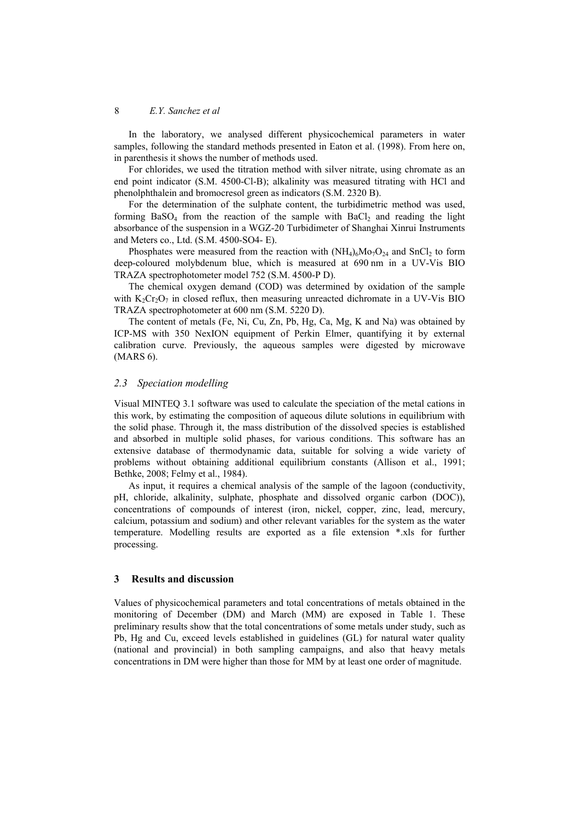In the laboratory, we analysed different physicochemical parameters in water samples, following the standard methods presented in Eaton et al. (1998). From here on, in parenthesis it shows the number of methods used.

For chlorides, we used the titration method with silver nitrate, using chromate as an end point indicator (S.M. 4500-Cl-B); alkalinity was measured titrating with HCl and phenolphthalein and bromocresol green as indicators (S.M. 2320 B).

For the determination of the sulphate content, the turbidimetric method was used, forming  $BaSO<sub>4</sub>$  from the reaction of the sample with  $BaCl<sub>2</sub>$  and reading the light absorbance of the suspension in a WGZ-20 Turbidimeter of Shanghai Xinrui Instruments and Meters co., Ltd. (S.M. 4500-SO4- E).

Phosphates were measured from the reaction with  $(NH<sub>4</sub>)<sub>6</sub>Mo<sub>7</sub>O<sub>24</sub>$  and  $SnCl<sub>2</sub>$  to form deep-coloured molybdenum blue, which is measured at 690 nm in a UV-Vis BIO TRAZA spectrophotometer model 752 (S.M. 4500-P D).

The chemical oxygen demand (COD) was determined by oxidation of the sample with  $K_2Cr_2O_7$  in closed reflux, then measuring unreacted dichromate in a UV-Vis BIO TRAZA spectrophotometer at 600 nm (S.M. 5220 D).

The content of metals (Fe, Ni, Cu, Zn, Pb, Hg, Ca, Mg, K and Na) was obtained by ICP-MS with 350 NexION equipment of Perkin Elmer, quantifying it by external calibration curve. Previously, the aqueous samples were digested by microwave (MARS 6).

### *2.3 Speciation modelling*

Visual MINTEQ 3.1 software was used to calculate the speciation of the metal cations in this work, by estimating the composition of aqueous dilute solutions in equilibrium with the solid phase. Through it, the mass distribution of the dissolved species is established and absorbed in multiple solid phases, for various conditions. This software has an extensive database of thermodynamic data, suitable for solving a wide variety of problems without obtaining additional equilibrium constants (Allison et al., 1991; Bethke, 2008; Felmy et al., 1984).

As input, it requires a chemical analysis of the sample of the lagoon (conductivity, pH, chloride, alkalinity, sulphate, phosphate and dissolved organic carbon (DOC)), concentrations of compounds of interest (iron, nickel, copper, zinc, lead, mercury, calcium, potassium and sodium) and other relevant variables for the system as the water temperature. Modelling results are exported as a file extension \*.xls for further processing.

#### **3 Results and discussion**

Values of physicochemical parameters and total concentrations of metals obtained in the monitoring of December (DM) and March (MM) are exposed in Table 1. These preliminary results show that the total concentrations of some metals under study, such as Pb, Hg and Cu, exceed levels established in guidelines (GL) for natural water quality (national and provincial) in both sampling campaigns, and also that heavy metals concentrations in DM were higher than those for MM by at least one order of magnitude.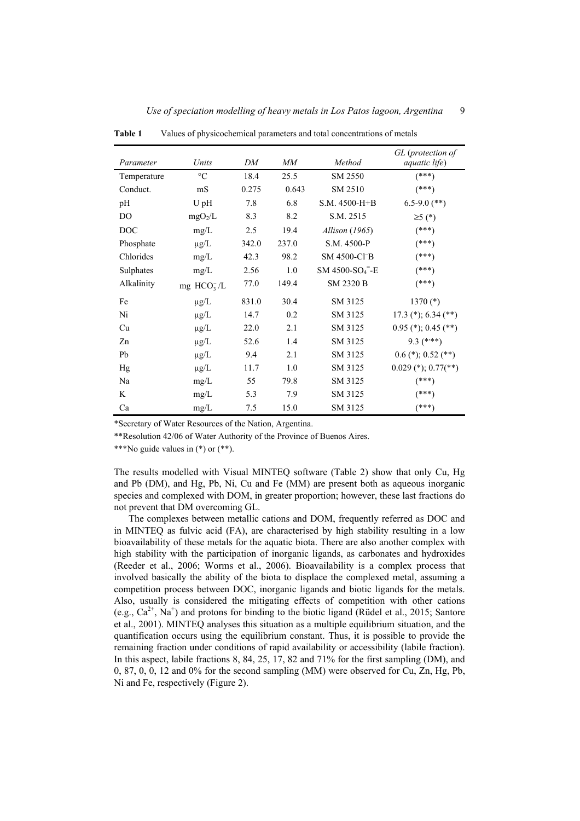| Parameter      | Units               | DΜ    | MМ    | Method                                  | GL (protection of<br><i>aquatic life</i> ) |
|----------------|---------------------|-------|-------|-----------------------------------------|--------------------------------------------|
| Temperature    | $\rm ^{\circ}C$     | 18.4  | 25.5  | SM 2550                                 | $(***)$                                    |
| Conduct.       | mS                  | 0.275 | 0.643 | SM 2510                                 | $^{(***)}$                                 |
| pH             | U pH                | 7.8   | 6.8   | S.M. 4500-H+B                           | $6.5 - 9.0$ (**)                           |
| D <sub>O</sub> | mgO <sub>2</sub> /L | 8.3   | 8.2   | S.M. 2515                               | $\geq$ 5 (*)                               |
| <b>DOC</b>     | mg/L                | 2.5   | 19.4  | <i>Allison</i> (1965)                   | $(***)$                                    |
| Phosphate      | $\mu$ g/L           | 342.0 | 237.0 | S.M. 4500-P                             | $(***)$                                    |
| Chlorides      | mg/L                | 42.3  | 98.2  | <b>SM 4500-CI-B</b>                     | $(***)$                                    |
| Sulphates      | mg/L                | 2.56  | 1.0   | SM 4500-SO <sub>4</sub> <sup>-</sup> -E | (***)                                      |
| Alkalinity     | mg $HCO3-/L$        | 77.0  | 149.4 | <b>SM 2320 B</b>                        | $(***)$                                    |
| Fe             | $\mu g/L$           | 831.0 | 30.4  | SM 3125                                 | $1370$ (*)                                 |
| Ni             | $\mu g/L$           | 14.7  | 0.2   | SM 3125                                 | $17.3$ (*); 6.34 (**)                      |
| Cu             | $\mu g/L$           | 22.0  | 2.1   | SM 3125                                 | $0.95$ (*); 0.45 (**)                      |
| Zn             | $\mu g/L$           | 52.6  | 1.4   | SM 3125                                 | $9.3$ (***)                                |
| Pb             | $\mu g/L$           | 9.4   | 2.1   | SM 3125                                 | $0.6$ (*); $0.52$ (**)                     |
| Hg             | $\mu g/L$           | 11.7  | 1.0   | SM 3125                                 | $0.029$ (*); $0.77$ (**)                   |
| Na             | mg/L                | 55    | 79.8  | SM 3125                                 | $(***)$                                    |
| K              | mg/L                | 5.3   | 7.9   | SM 3125                                 | $^{(***)}$                                 |
| Ca             | mg/L                | 7.5   | 15.0  | SM 3125                                 | $(***)$                                    |

**Table 1** Values of physicochemical parameters and total concentrations of metals

\*Secretary of Water Resources of the Nation, Argentina.

\*\*Resolution 42/06 of Water Authority of the Province of Buenos Aires.

\*\*\*No guide values in (\*) or (\*\*).

The results modelled with Visual MINTEQ software (Table 2) show that only Cu, Hg and Pb (DM), and Hg, Pb, Ni, Cu and Fe (MM) are present both as aqueous inorganic species and complexed with DOM, in greater proportion; however, these last fractions do not prevent that DM overcoming GL.

The complexes between metallic cations and DOM, frequently referred as DOC and in MINTEQ as fulvic acid (FA), are characterised by high stability resulting in a low bioavailability of these metals for the aquatic biota. There are also another complex with high stability with the participation of inorganic ligands, as carbonates and hydroxides (Reeder et al., 2006; Worms et al., 2006). Bioavailability is a complex process that involved basically the ability of the biota to displace the complexed metal, assuming a competition process between DOC, inorganic ligands and biotic ligands for the metals. Also, usually is considered the mitigating effects of competition with other cations (e.g.,  $Ca^{2+}$ , Na<sup>+</sup>) and protons for binding to the biotic ligand (Rüdel et al., 2015; Santore et al., 2001). MINTEQ analyses this situation as a multiple equilibrium situation, and the quantification occurs using the equilibrium constant. Thus, it is possible to provide the remaining fraction under conditions of rapid availability or accessibility (labile fraction). In this aspect, labile fractions 8, 84, 25, 17, 82 and 71% for the first sampling (DM), and 0, 87, 0, 0, 12 and 0% for the second sampling (MM) were observed for Cu, Zn, Hg, Pb, Ni and Fe, respectively (Figure 2).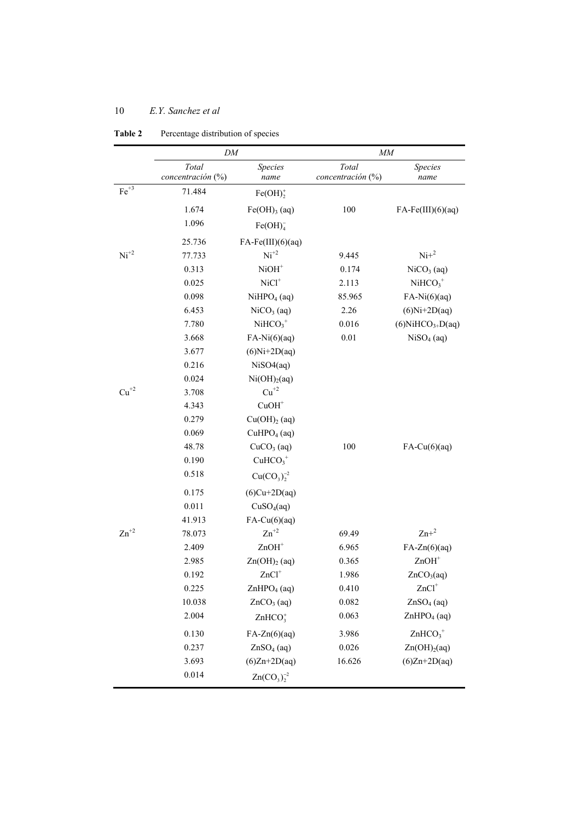|                    | DM                         |                            | MM                         |                                 |  |
|--------------------|----------------------------|----------------------------|----------------------------|---------------------------------|--|
|                    | Total<br>concentración (%) | Species<br>name            | Total<br>concentración (%) | Species<br>name                 |  |
| $Fe+3$             | 71.484                     | $Fe(OH)$ ;                 |                            |                                 |  |
|                    | 1.674                      | $Fe(OH)$ <sub>3</sub> (aq) | 100                        | $FA-Fe(III)(6)(aq)$             |  |
|                    | 1.096                      | Fe(OH) <sub>4</sub>        |                            |                                 |  |
|                    | 25.736                     | $FA-Fe(III)(6)(aq)$        |                            |                                 |  |
| $Ni+2$             | 77.733                     | $Ni+2$                     | 9.445                      | $Ni+2$                          |  |
|                    | 0.313                      | $NiOH+$                    | 0.174                      | $NiCO3$ (aq)                    |  |
|                    | 0.025                      | $NiCl+$                    | 2.113                      | $NiHCO3+$                       |  |
|                    | 0.098                      | NiHPO <sub>4</sub> (aq)    | 85.965                     | $FA-Ni(6)(aq)$                  |  |
|                    | 6.453                      | $NiCO3$ (aq)               | 2.26                       | $(6)$ Ni+2D(aq)                 |  |
|                    | 7.780                      | $NiHCO3+$                  | 0.016                      | $(6)$ NiHCO <sub>3+</sub> D(aq) |  |
|                    | 3.668                      | $FA-Ni(6)(aq)$             | 0.01                       | $NiSO4$ (aq)                    |  |
|                    | 3.677                      | $(6)$ Ni+2D $(aq)$         |                            |                                 |  |
|                    | 0.216                      | NiSO4(aq)                  |                            |                                 |  |
|                    | 0.024                      | Ni(OH) <sub>2</sub> (aq)   |                            |                                 |  |
| $\mathrm{Cu}^{+2}$ | 3.708                      | $\mathrm{Cu}^{+2}$         |                            |                                 |  |
|                    | 4.343                      | $CuOH+$                    |                            |                                 |  |
|                    | 0.279                      | Cu(OH) <sub>2</sub> (aq)   |                            |                                 |  |
|                    | 0.069                      | CuHPO <sub>4</sub> (aq)    |                            |                                 |  |
|                    | 48.78                      | $CuCO3$ (aq)               | 100                        | $FA-Cu(6)(aq)$                  |  |
|                    | 0.190                      | $CuHCO3+$                  |                            |                                 |  |
|                    | 0.518                      | $Cu(CO_3)_2^{-2}$          |                            |                                 |  |
|                    | 0.175                      | $(6)Cu+2D(aq)$             |                            |                                 |  |
|                    | 0.011                      | CuSO <sub>4</sub> (aq)     |                            |                                 |  |
|                    | 41.913                     | $FA-Cu(6)(aq)$             |                            |                                 |  |
| $\text{Zn}^{+2}$   | 78.073                     | $Zn^{+2}$                  | 69.49                      | $Zn+^2$                         |  |
|                    | 2.409                      | $ZnOH+$                    | 6.965                      | $FA-Zn(6)(aq)$                  |  |
|                    | 2.985                      | Zn(OH) <sub>2</sub> (aq)   | 0.365                      | $ZnOH+$                         |  |
|                    | 0.192                      | $ZnCl+$                    | 1.986                      | ZnCO <sub>3</sub> (aq)          |  |
|                    | 0.225                      | ZnHPO <sub>4</sub> (aq)    | 0.410                      | $ZnCl+$                         |  |
|                    | 10.038                     | $ZnCO3$ (aq)               | 0.082                      | $ZnSO4$ (aq)                    |  |
|                    | 2.004                      | $ZnHCO3+$                  | 0.063                      | ZnHPO <sub>4</sub> (aq)         |  |
|                    | 0.130                      | $FA-Zn(6)(aq)$             | 3.986                      | $ZnHCO3+$                       |  |
|                    | 0.237                      | $ZnSO4$ (aq)               | 0.026                      | Zn(OH) <sub>2</sub> (aq)        |  |
|                    | 3.693                      | $(6)Zn+2D(aq)$             | 16.626                     | $(6)Zn+2D(aq)$                  |  |
|                    | 0.014                      | $Zn(CO_3)_2^{-2}$          |                            |                                 |  |

## **Table 2** Percentage distribution of species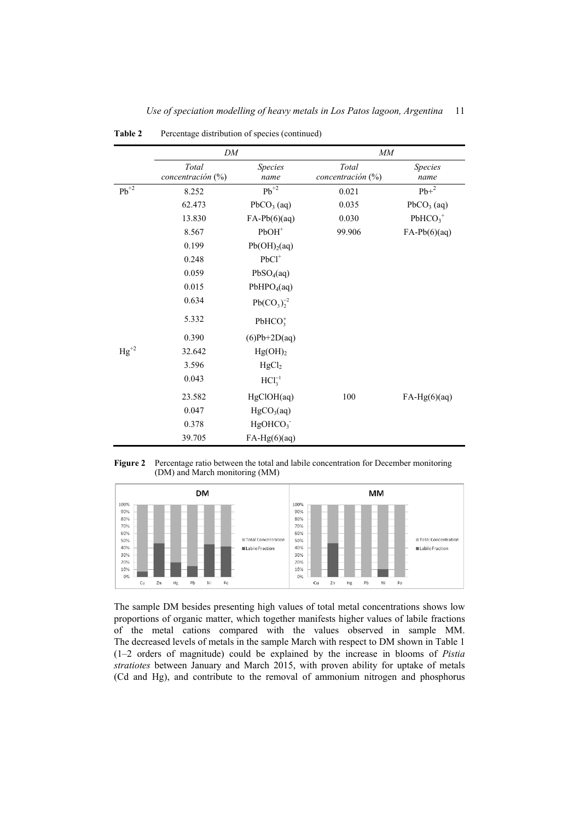|                    | DM                            |                          | MM                            |                        |  |
|--------------------|-------------------------------|--------------------------|-------------------------------|------------------------|--|
|                    | Total<br>concentración $(\%)$ | <i>Species</i><br>name   | Total<br>concentración $(\%)$ | <i>Species</i><br>name |  |
| $\mathrm{Pb}^{+2}$ | 8.252                         | $Pb^{+2}$                | 0.021                         | $Pb+^2$                |  |
|                    | 62.473                        | $PbCO3$ (aq)             | 0.035                         | $PbCO3$ (aq)           |  |
|                    | 13.830                        | $FA-Pb(6)(aq)$           | 0.030                         | $PbHCO3+$              |  |
|                    | 8.567                         | $PbOH+$                  | 99.906                        | $FA-Pb(6)(aq)$         |  |
|                    | 0.199                         | Pb(OH) <sub>2</sub> (aq) |                               |                        |  |
|                    | 0.248                         | $PbCl+$                  |                               |                        |  |
|                    | 0.059                         | PbSO <sub>4</sub> (aq)   |                               |                        |  |
|                    | 0.015                         | PbHPO <sub>4</sub> (aq)  |                               |                        |  |
|                    | 0.634                         | $Pb(CO_3)_2^{-2}$        |                               |                        |  |
|                    | 5.332                         | $PbHCO3+$                |                               |                        |  |
|                    | 0.390                         | $(6)Pb+2D(aq)$           |                               |                        |  |
| $Hg^{+2}$          | 32.642                        | Hg(OH) <sub>2</sub>      |                               |                        |  |
|                    | 3.596                         | HgCl <sub>2</sub>        |                               |                        |  |
|                    | 0.043                         | $HCl3-1$                 |                               |                        |  |
|                    | 23.582                        | HgClOH(aq)               | 100                           | $FA-Hg(6)(aq)$         |  |
|                    | 0.047                         | HgCO <sub>3</sub> (aq)   |                               |                        |  |
|                    | 0.378                         | HgOHCO <sub>3</sub>      |                               |                        |  |
|                    | 39.705                        | $FA-Hg(6)(aq)$           |                               |                        |  |

Table 2 Percentage distribution of species (continued)

**Figure 2** Percentage ratio between the total and labile concentration for December monitoring (DM) and March monitoring (MM)



The sample DM besides presenting high values of total metal concentrations shows low proportions of organic matter, which together manifests higher values of labile fractions of the metal cations compared with the values observed in sample MM. The decreased levels of metals in the sample March with respect to DM shown in Table 1 (1–2 orders of magnitude) could be explained by the increase in blooms of *Pistia stratiotes* between January and March 2015, with proven ability for uptake of metals (Cd and Hg), and contribute to the removal of ammonium nitrogen and phosphorus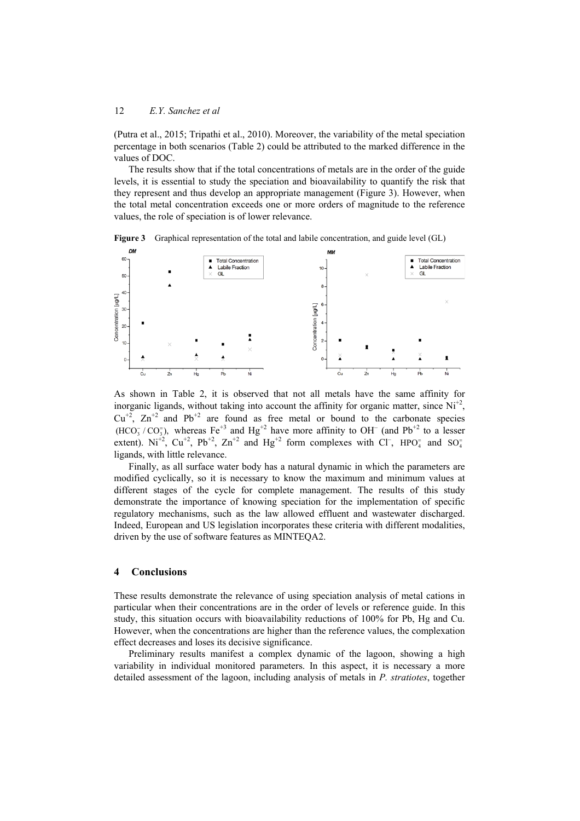(Putra et al., 2015; Tripathi et al., 2010). Moreover, the variability of the metal speciation percentage in both scenarios (Table 2) could be attributed to the marked difference in the values of DOC.

The results show that if the total concentrations of metals are in the order of the guide levels, it is essential to study the speciation and bioavailability to quantify the risk that they represent and thus develop an appropriate management (Figure 3). However, when the total metal concentration exceeds one or more orders of magnitude to the reference values, the role of speciation is of lower relevance.

**Figure 3** Graphical representation of the total and labile concentration, and guide level (GL)



As shown in Table 2, it is observed that not all metals have the same affinity for inorganic ligands, without taking into account the affinity for organic matter, since  $Ni^{+2}$ .  $Cu^{+2}$ ,  $Zn^{+2}$  and Pb<sup>+2</sup> are found as free metal or bound to the carbonate species  $(HCO_3^-/CO_3^-)$ , whereas Fe<sup>+3</sup> and Hg<sup>+2</sup> have more affinity to OH<sup>-</sup> (and Pb<sup>+2</sup> to a lesser extent).  $Ni^{+2}$ ,  $Cu^{+2}$ ,  $Pb^{+2}$ ,  $Zn^{+2}$  and  $Hg^{+2}$  form complexes with Cl<sup>-</sup>, HPO<sub>4</sub> and SO<sub>4</sub> ligands, with little relevance.

Finally, as all surface water body has a natural dynamic in which the parameters are modified cyclically, so it is necessary to know the maximum and minimum values at different stages of the cycle for complete management. The results of this study demonstrate the importance of knowing speciation for the implementation of specific regulatory mechanisms, such as the law allowed effluent and wastewater discharged. Indeed, European and US legislation incorporates these criteria with different modalities, driven by the use of software features as MINTEQA2.

#### **4 Conclusions**

These results demonstrate the relevance of using speciation analysis of metal cations in particular when their concentrations are in the order of levels or reference guide. In this study, this situation occurs with bioavailability reductions of 100% for Pb, Hg and Cu. However, when the concentrations are higher than the reference values, the complexation effect decreases and loses its decisive significance.

Preliminary results manifest a complex dynamic of the lagoon, showing a high variability in individual monitored parameters. In this aspect, it is necessary a more detailed assessment of the lagoon, including analysis of metals in *P. stratiotes*, together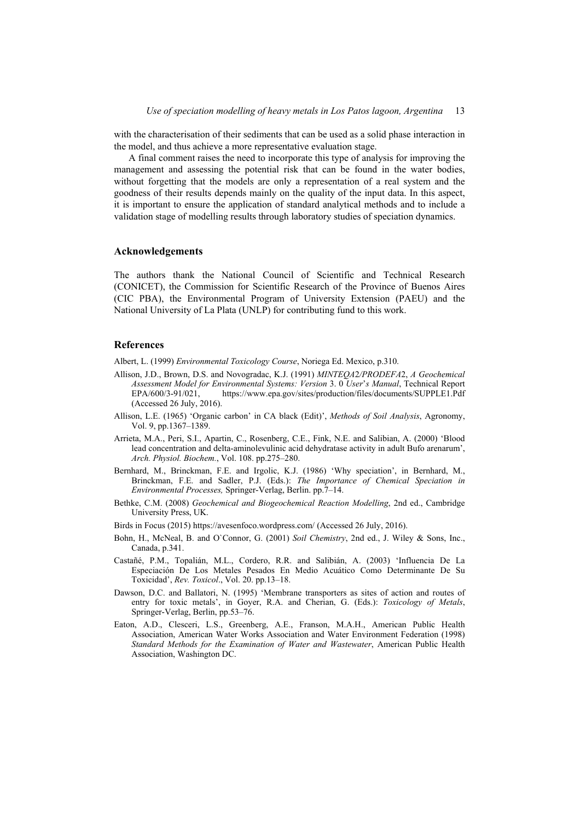with the characterisation of their sediments that can be used as a solid phase interaction in the model, and thus achieve a more representative evaluation stage.

A final comment raises the need to incorporate this type of analysis for improving the management and assessing the potential risk that can be found in the water bodies, without forgetting that the models are only a representation of a real system and the goodness of their results depends mainly on the quality of the input data. In this aspect, it is important to ensure the application of standard analytical methods and to include a validation stage of modelling results through laboratory studies of speciation dynamics.

### **Acknowledgements**

The authors thank the National Council of Scientific and Technical Research (CONICET), the Commission for Scientific Research of the Province of Buenos Aires (CIC PBA), the Environmental Program of University Extension (PAEU) and the National University of La Plata (UNLP) for contributing fund to this work.

#### **References**

Albert, L. (1999) *Environmental Toxicology Course*, Noriega Ed. Mexico, p.310.

- Allison, J.D., Brown, D.S. and Novogradac, K.J. (1991) *MINTEQA*2*/PRODEFA*2, *A Geochemical Assessment Model for Environmental Systems: Version* 3. 0 *User*'*s Manual*, Technical Report EPA/600/3-91/021, https://www.epa.gov/sites/production/files/documents/SUPPLE1.Pdf (Accessed 26 July, 2016).
- Allison, L.E. (1965) 'Organic carbon' in CA black (Edit)', *Methods of Soil Analysis*, Agronomy, Vol. 9, pp.1367–1389.
- Arrieta, M.A., Peri, S.I., Apartin, C., Rosenberg, C.E., Fink, N.E. and Salibian, A. (2000) 'Blood lead concentration and delta-aminolevulinic acid dehydratase activity in adult Bufo arenarum', *Arch. Physiol. Biochem.*, Vol. 108. pp.275–280.
- Bernhard, M., Brinckman, F.E. and Irgolic, K.J. (1986) 'Why speciation', in Bernhard, M., Brinckman, F.E. and Sadler, P.J. (Eds.): *The Importance of Chemical Speciation in Environmental Processes,* Springer-Verlag, Berlin. pp.7–14.
- Bethke, C.M. (2008) *Geochemical and Biogeochemical Reaction Modelling*, 2nd ed., Cambridge University Press, UK.
- Birds in Focus (2015) https://avesenfoco.wordpress.com/ (Accessed 26 July, 2016).
- Bohn, H., McNeal, B. and O`Connor, G. (2001) *Soil Chemistry*, 2nd ed., J. Wiley & Sons, Inc., Canada, p.341.
- Castañé, P.M., Topalián, M.L., Cordero, R.R. and Salibián, A. (2003) 'Influencia De La Especiación De Los Metales Pesados En Medio Acuático Como Determinante De Su Toxicidad', *Rev. Toxicol*., Vol. 20. pp.13–18.
- Dawson, D.C. and Ballatori, N. (1995) 'Membrane transporters as sites of action and routes of entry for toxic metals', in Goyer, R.A. and Cherian, G. (Eds.): *Toxicology of Metals*, Springer-Verlag, Berlin, pp.53–76.
- Eaton, A.D., Clesceri, L.S., Greenberg, A.E., Franson, M.A.H., American Public Health Association, American Water Works Association and Water Environment Federation (1998) *Standard Methods for the Examination of Water and Wastewater*, American Public Health Association, Washington DC.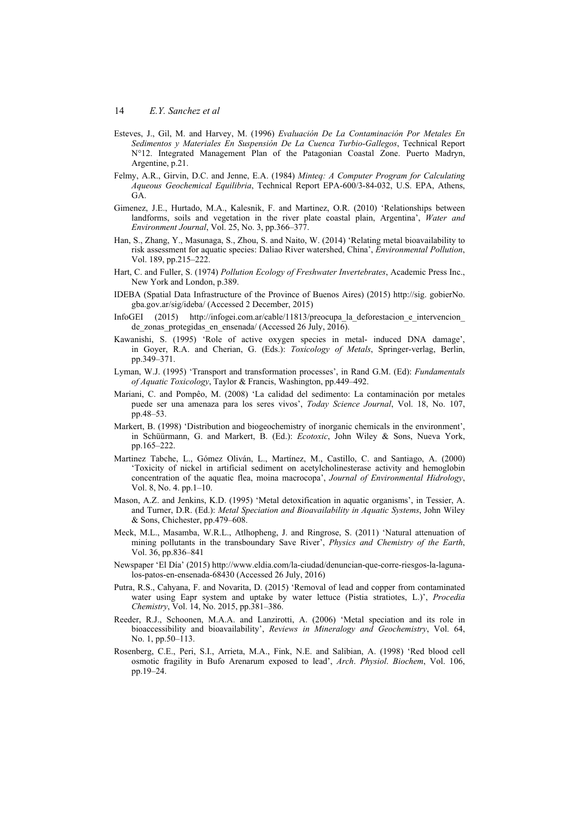- Esteves, J., Gil, M. and Harvey, M. (1996) *Evaluación De La Contaminación Por Metales En Sedimentos y Materiales En Suspensión De La Cuenca Turbio-Gallegos*, Technical Report N°12. Integrated Management Plan of the Patagonian Coastal Zone. Puerto Madryn, Argentine, p.21.
- Felmy, A.R., Girvin, D.C. and Jenne, E.A. (1984) *Minteq: A Computer Program for Calculating Aqueous Geochemical Equilibria*, Technical Report EPA-600/3-84-032, U.S. EPA, Athens, GA.
- Gimenez, J.E., Hurtado, M.A., Kalesnik, F. and Martinez, O.R. (2010) 'Relationships between landforms, soils and vegetation in the river plate coastal plain, Argentina', *Water and Environment Journal*, Vol. 25, No. 3, pp.366–377.
- Han, S., Zhang, Y., Masunaga, S., Zhou, S. and Naito, W. (2014) 'Relating metal bioavailability to risk assessment for aquatic species: Daliao River watershed, China', *Environmental Pollution*, Vol. 189, pp.215–222.
- Hart, C. and Fuller, S. (1974) *Pollution Ecology of Freshwater Invertebrates*, Academic Press Inc., New York and London, p.389.
- IDEBA (Spatial Data Infrastructure of the Province of Buenos Aires) (2015) http://sig. gobierNo. gba.gov.ar/sig/ideba/ (Accessed 2 December, 2015)
- InfoGEI (2015) http://infogei.com.ar/cable/11813/preocupa\_la\_deforestacion\_e\_intervencion\_ de zonas protegidas en ensenada/ (Accessed 26 July, 2016).
- Kawanishi, S. (1995) 'Role of active oxygen species in metal- induced DNA damage', in Goyer, R.A. and Cherian, G. (Eds.): *Toxicology of Metals*, Springer-verlag, Berlin, pp.349–371.
- Lyman, W.J. (1995) 'Transport and transformation processes', in Rand G.M. (Ed): *Fundamentals of Aquatic Toxicology*, Taylor & Francis, Washington, pp.449–492.
- Mariani, C. and Pompêo, M. (2008) 'La calidad del sedimento: La contaminación por metales puede ser una amenaza para los seres vivos', *Today Science Journal*, Vol. 18, No. 107, pp.48–53.
- Markert, B. (1998) 'Distribution and biogeochemistry of inorganic chemicals in the environment'. in Schüürmann, G. and Markert, B. (Ed.): *Ecotoxic*, John Wiley & Sons, Nueva York, pp.165–222.
- Martinez Tabche, L., Gómez Oliván, L., Martínez, M., Castillo, C. and Santiago, A. (2000) 'Toxicity of nickel in artificial sediment on acetylcholinesterase activity and hemoglobin concentration of the aquatic flea, moina macrocopa', *Journal of Environmental Hidrology*, Vol. 8, No. 4. pp.1–10.
- Mason, A.Z. and Jenkins, K.D. (1995) 'Metal detoxification in aquatic organisms', in Tessier, A. and Turner, D.R. (Ed.): *Metal Speciation and Bioavailability in Aquatic Systems*, John Wiley & Sons, Chichester, pp.479–608.
- Meck, M.L., Masamba, W.R.L., Atlhopheng, J. and Ringrose, S. (2011) 'Natural attenuation of mining pollutants in the transboundary Save River', *Physics and Chemistry of the Earth*, Vol. 36, pp.836–841
- Newspaper 'El Día' (2015) http://www.eldia.com/la-ciudad/denuncian-que-corre-riesgos-la-lagunalos-patos-en-ensenada-68430 (Accessed 26 July, 2016)
- Putra, R.S., Cahyana, F. and Novarita, D. (2015) 'Removal of lead and copper from contaminated water using Eapr system and uptake by water lettuce (Pistia stratiotes, L.)', *Procedia Chemistry*, Vol. 14, No. 2015, pp.381–386.
- Reeder, R.J., Schoonen, M.A.A. and Lanzirotti, A. (2006) 'Metal speciation and its role in bioaccessibility and bioavailability', *Reviews in Mineralogy and Geochemistry*, Vol. 64, No. 1, pp.50–113.
- Rosenberg, C.E., Peri, S.I., Arrieta, M.A., Fink, N.E. and Salibian, A. (1998) 'Red blood cell osmotic fragility in Bufo Arenarum exposed to lead', *Arch*. *Physiol*. *Biochem*, Vol. 106, pp.19–24.